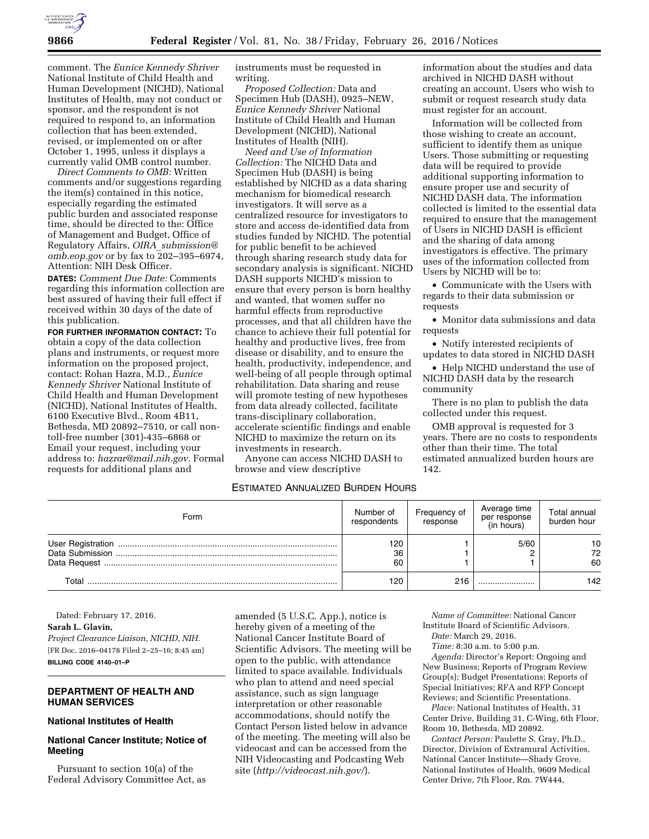

comment. The *Eunice Kennedy Shriver*  National Institute of Child Health and Human Development (NICHD), National Institutes of Health, may not conduct or sponsor, and the respondent is not required to respond to, an information collection that has been extended, revised, or implemented on or after October 1, 1995, unless it displays a currently valid OMB control number.

*Direct Comments to OMB:* Written comments and/or suggestions regarding the item(s) contained in this notice, especially regarding the estimated public burden and associated response time, should be directed to the: Office of Management and Budget, Office of Regulatory Affairs, *OIRA*\_*[submission@](mailto:OIRA_submission@omb.eop.gov) [omb.eop.gov](mailto:OIRA_submission@omb.eop.gov)* or by fax to 202-395-6974, Attention: NIH Desk Officer.

**DATES:** *Comment Due Date:* Comments regarding this information collection are best assured of having their full effect if received within 30 days of the date of this publication.

**FOR FURTHER INFORMATION CONTACT:** To obtain a copy of the data collection plans and instruments, or request more information on the proposed project, contact: Rohan Hazra, M.D., *Eunice Kennedy Shriver* National Institute of Child Health and Human Development (NICHD), National Institutes of Health, 6100 Executive Blvd., Room 4B11, Bethesda, MD 20892–7510, or call nontoll-free number (301)-435–6868 or Email your request, including your address to: *[hazrar@mail.nih.gov.](mailto:hazrar@mail.nih.gov)* Formal requests for additional plans and

instruments must be requested in writing.

*Proposed Collection:* Data and Specimen Hub (DASH), 0925–NEW, *Eunice Kennedy Shriver* National Institute of Child Health and Human Development (NICHD), National Institutes of Health (NIH).

*Need and Use of Information Collection:* The NICHD Data and Specimen Hub (DASH) is being established by NICHD as a data sharing mechanism for biomedical research investigators. It will serve as a centralized resource for investigators to store and access de-identified data from studies funded by NICHD. The potential for public benefit to be achieved through sharing research study data for secondary analysis is significant. NICHD DASH supports NICHD's mission to ensure that every person is born healthy and wanted, that women suffer no harmful effects from reproductive processes, and that all children have the chance to achieve their full potential for healthy and productive lives, free from disease or disability, and to ensure the health, productivity, independence, and well-being of all people through optimal rehabilitation. Data sharing and reuse will promote testing of new hypotheses from data already collected, facilitate trans-disciplinary collaboration, accelerate scientific findings and enable NICHD to maximize the return on its investments in research.

Anyone can access NICHD DASH to browse and view descriptive

# ESTIMATED ANNUALIZED BURDEN HOURS

information about the studies and data archived in NICHD DASH without creating an account. Users who wish to submit or request research study data must register for an account.

Information will be collected from those wishing to create an account, sufficient to identify them as unique Users. Those submitting or requesting data will be required to provide additional supporting information to ensure proper use and security of NICHD DASH data. The information collected is limited to the essential data required to ensure that the management of Users in NICHD DASH is efficient and the sharing of data among investigators is effective. The primary uses of the information collected from Users by NICHD will be to:

• Communicate with the Users with regards to their data submission or requests

• Monitor data submissions and data requests

• Notify interested recipients of updates to data stored in NICHD DASH

• Help NICHD understand the use of NICHD DASH data by the research community

There is no plan to publish the data collected under this request.

OMB approval is requested for 3 years. There are no costs to respondents other than their time. The total estimated annualized burden hours are 142.

| Form  | Number of<br>respondents | Frequency of<br>response | Average time<br>per response<br>(in hours) | Total annual<br>burden hour |
|-------|--------------------------|--------------------------|--------------------------------------------|-----------------------------|
|       | 120<br>36<br>60          |                          | 5/60                                       | 10<br>72<br>60              |
| Total | 120                      | 216                      |                                            | 142                         |

Dated: February 17, 2016. **Sarah L. Glavin,**  *Project Clearance Liaison, NICHD, NIH.*  [FR Doc. 2016–04178 Filed 2–25–16; 8:45 am] **BILLING CODE 4140–01–P** 

### **DEPARTMENT OF HEALTH AND HUMAN SERVICES**

### **National Institutes of Health**

### **National Cancer Institute; Notice of Meeting**

Pursuant to section 10(a) of the Federal Advisory Committee Act, as amended (5 U.S.C. App.), notice is hereby given of a meeting of the National Cancer Institute Board of Scientific Advisors. The meeting will be open to the public, with attendance limited to space available. Individuals who plan to attend and need special assistance, such as sign language interpretation or other reasonable accommodations, should notify the Contact Person listed below in advance of the meeting. The meeting will also be videocast and can be accessed from the NIH Videocasting and Podcasting Web site (*<http://videocast.nih.gov/>*).

*Name of Committee:* National Cancer Institute Board of Scientific Advisors.

*Date:* March 29, 2016.

*Time:* 8:30 a.m. to 5:00 p.m. *Agenda:* Director's Report: Ongoing and New Business; Reports of Program Review Group(s); Budget Presentations; Reports of Special Initiatives; RFA and RFP Concept Reviews; and Scientific Presentations.

*Place:* National Institutes of Health, 31 Center Drive, Building 31, C-Wing, 6th Floor, Room 10, Bethesda, MD 20892.

*Contact Person:* Paulette S. Gray, Ph.D., Director, Division of Extramural Activities, National Cancer Institute—Shady Grove, National Institutes of Health, 9609 Medical Center Drive, 7th Floor, Rm. 7W444,